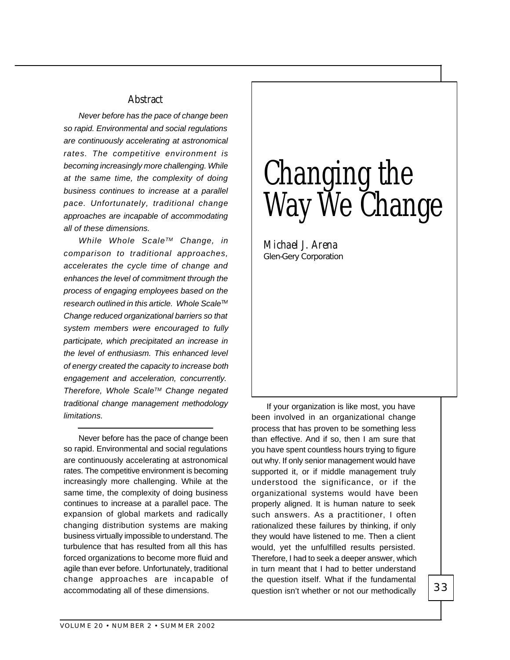## **Abstract**

*Never before has the pace of change been so rapid. Environmental and social regulations are continuously accelerating at astronomical rates. The competitive environment is becoming increasingly more challenging. While at the same time, the complexity of doing business continues to increase at a parallel pace. Unfortunately, traditional change approaches are incapable of accommodating all of these dimensions.*

*While Whole ScaleTM Change, in comparison to traditional approaches, accelerates the cycle time of change and enhances the level of commitment through the process of engaging employees based on the research outlined in this article. Whole ScaleTM Change reduced organizational barriers so that system members were encouraged to fully participate, which precipitated an increase in the level of enthusiasm. This enhanced level of energy created the capacity to increase both engagement and acceleration, concurrently. Therefore, Whole ScaleTM Change negated traditional change management methodology limitations.*

Never before has the pace of change been so rapid. Environmental and social regulations are continuously accelerating at astronomical rates. The competitive environment is becoming increasingly more challenging. While at the same time, the complexity of doing business continues to increase at a parallel pace. The expansion of global markets and radically changing distribution systems are making business virtually impossible to understand. The turbulence that has resulted from all this has forced organizations to become more fluid and agile than ever before. Unfortunately, traditional change approaches are incapable of accommodating all of these dimensions.

# Changing the Way We Change

*Michael J. Arena* Glen-Gery Corporation

If your organization is like most, you have been involved in an organizational change process that has proven to be something less than effective. And if so, then I am sure that you have spent countless hours trying to figure out why. If only senior management would have supported it, or if middle management truly understood the significance, or if the organizational systems would have been properly aligned. It is human nature to seek such answers. As a practitioner, I often rationalized these failures by thinking, if only they would have listened to me. Then a client would, yet the unfulfilled results persisted. Therefore, I had to seek a deeper answer, which in turn meant that I had to better understand the question itself. What if the fundamental question isn't whether or not our methodically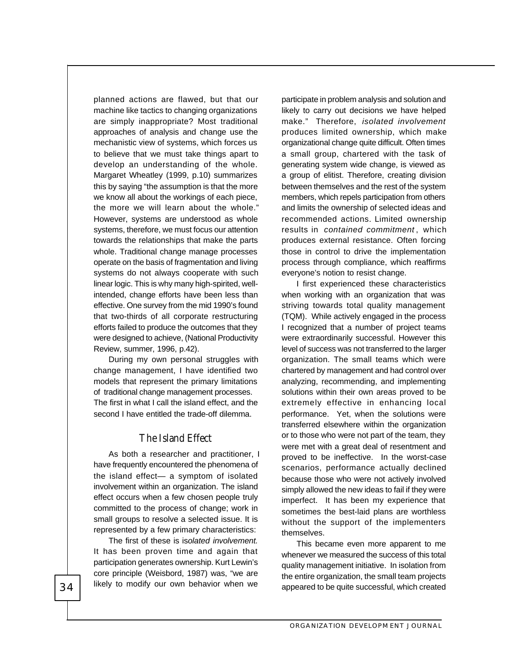planned actions are flawed, but that our machine like tactics to changing organizations are simply inappropriate? Most traditional approaches of analysis and change use the mechanistic view of systems, which forces us to believe that we must take things apart to develop an understanding of the whole. Margaret Wheatley (1999, p.10) summarizes this by saying "the assumption is that the more we know all about the workings of each piece, the more we will learn about the whole." However, systems are understood as whole systems, therefore, we must focus our attention towards the relationships that make the parts whole. Traditional change manage processes operate on the basis of fragmentation and living systems do not always cooperate with such linear logic. This is why many high-spirited, wellintended, change efforts have been less than effective. One survey from the mid 1990's found that two-thirds of all corporate restructuring efforts failed to produce the outcomes that they were designed to achieve, (National Productivity Review, summer, 1996, p.42).

During my own personal struggles with change management, I have identified two models that represent the primary limitations of traditional change management processes. The first in what I call the island effect, and the second I have entitled the trade-off dilemma.

#### **The Island Effect**

As both a researcher and practitioner, I have frequently encountered the phenomena of the island effect— a symptom of isolated involvement within an organization. The island effect occurs when a few chosen people truly committed to the process of change; work in small groups to resolve a selected issue. It is represented by a few primary characteristics:

The first of these is is*olated involvement.* It has been proven time and again that participation generates ownership. Kurt Lewin's core principle (Weisbord, 1987) was, "we are likely to modify our own behavior when we participate in problem analysis and solution and likely to carry out decisions we have helped make." Therefore, *isolated involvement* produces limited ownership, which make organizational change quite difficult. Often times a small group, chartered with the task of generating system wide change, is viewed as a group of elitist. Therefore, creating division between themselves and the rest of the system members, which repels participation from others and limits the ownership of selected ideas and recommended actions. Limited ownership results in *contained commitment*, which produces external resistance. Often forcing those in control to drive the implementation process through compliance, which reaffirms everyone's notion to resist change.

I first experienced these characteristics when working with an organization that was striving towards total quality management (TQM). While actively engaged in the process I recognized that a number of project teams were extraordinarily successful. However this level of success was not transferred to the larger organization. The small teams which were chartered by management and had control over analyzing, recommending, and implementing solutions within their own areas proved to be extremely effective in enhancing local performance. Yet, when the solutions were transferred elsewhere within the organization or to those who were not part of the team, they were met with a great deal of resentment and proved to be ineffective. In the worst-case scenarios, performance actually declined because those who were not actively involved simply allowed the new ideas to fail if they were imperfect. It has been my experience that sometimes the best-laid plans are worthless without the support of the implementers themselves.

This became even more apparent to me whenever we measured the success of this total quality management initiative. In isolation from the entire organization, the small team projects appeared to be quite successful, which created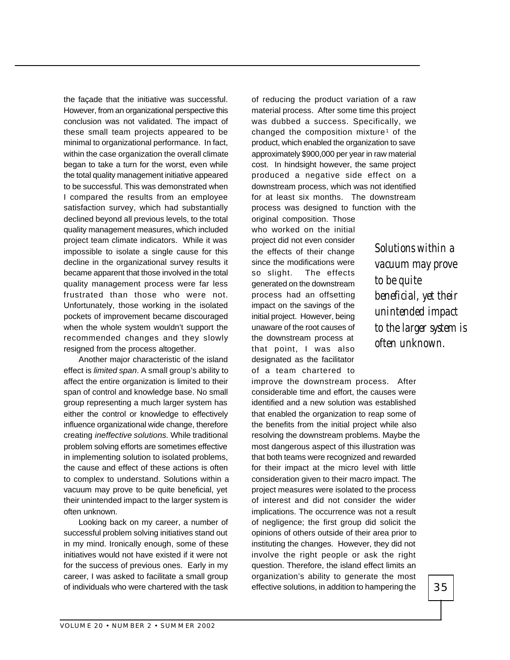the façade that the initiative was successful. However, from an organizational perspective this conclusion was not validated. The impact of these small team projects appeared to be minimal to organizational performance. In fact, within the case organization the overall climate began to take a turn for the worst, even while the total quality management initiative appeared to be successful. This was demonstrated when I compared the results from an employee satisfaction survey, which had substantially declined beyond all previous levels, to the total quality management measures, which included project team climate indicators. While it was impossible to isolate a single cause for this decline in the organizational survey results it became apparent that those involved in the total quality management process were far less frustrated than those who were not. Unfortunately, those working in the isolated pockets of improvement became discouraged when the whole system wouldn't support the recommended changes and they slowly resigned from the process altogether.

Another major characteristic of the island effect is *limited span*. A small group's ability to affect the entire organization is limited to their span of control and knowledge base. No small group representing a much larger system has either the control or knowledge to effectively influence organizational wide change, therefore creating *ineffective solutions.* While traditional problem solving efforts are sometimes effective in implementing solution to isolated problems, the cause and effect of these actions is often to complex to understand. Solutions within a vacuum may prove to be quite beneficial, yet their unintended impact to the larger system is often unknown.

Looking back on my career, a number of successful problem solving initiatives stand out in my mind. Ironically enough, some of these initiatives would not have existed if it were not for the success of previous ones. Early in my career, I was asked to facilitate a small group of individuals who were chartered with the task

of reducing the product variation of a raw material process. After some time this project was dubbed a success. Specifically, we changed the composition mixture<sup>1</sup> of the product, which enabled the organization to save approximately \$900,000 per year in raw material cost. In hindsight however, the same project produced a negative side effect on a downstream process, which was not identified for at least six months. The downstream process was designed to function with the

original composition. Those who worked on the initial project did not even consider the effects of their change since the modifications were so slight. The effects generated on the downstream process had an offsetting impact on the savings of the initial project. However, being unaware of the root causes of the downstream process at that point, I was also designated as the facilitator of a team chartered to

improve the downstream process. After considerable time and effort, the causes were identified and a new solution was established that enabled the organization to reap some of the benefits from the initial project while also resolving the downstream problems. Maybe the most dangerous aspect of this illustration was that both teams were recognized and rewarded for their impact at the micro level with little consideration given to their macro impact. The project measures were isolated to the process of interest and did not consider the wider implications. The occurrence was not a result of negligence; the first group did solicit the opinions of others outside of their area prior to instituting the changes. However, they did not involve the right people or ask the right question. Therefore, the island effect limits an organization's ability to generate the most effective solutions, in addition to hampering the

*Solutions within a vacuum may prove to be quite beneficial, yet their unintended impact to the larger system is often unknown.*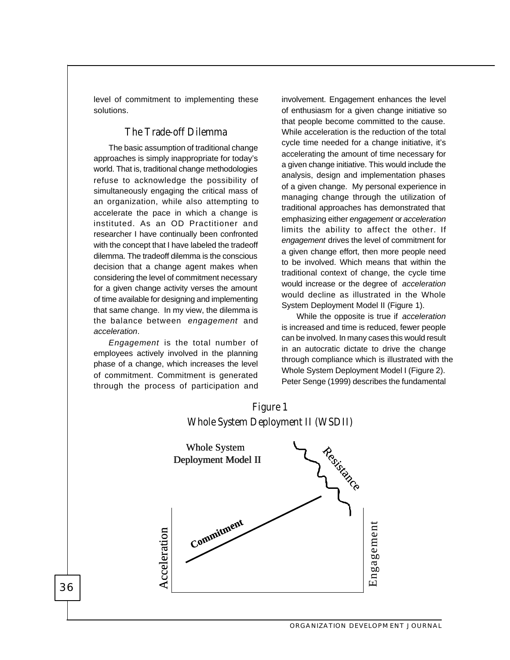level of commitment to implementing these solutions.

## **The Trade-off Dilemma**

The basic assumption of traditional change approaches is simply inappropriate for today's world. That is, traditional change methodologies refuse to acknowledge the possibility of simultaneously engaging the critical mass of an organization, while also attempting to accelerate the pace in which a change is instituted. As an OD Practitioner and researcher I have continually been confronted with the concept that I have labeled the tradeoff dilemma. The tradeoff dilemma is the conscious decision that a change agent makes when considering the level of commitment necessary for a given change activity verses the amount of time available for designing and implementing that same change. In my view, the dilemma is the balance between *engagement* and *acceleration*.

*Engagement* is the total number of employees actively involved in the planning phase of a change, which increases the level of commitment. Commitment is generated through the process of participation and

36

involvement. Engagement enhances the level of enthusiasm for a given change initiative so that people become committed to the cause. While acceleration is the reduction of the total cycle time needed for a change initiative, it's accelerating the amount of time necessary for a given change initiative. This would include the analysis, design and implementation phases of a given change. My personal experience in managing change through the utilization of traditional approaches has demonstrated that emphasizing either *engagement* or *acceleration* limits the ability to affect the other. If *engagement* drives the level of commitment for a given change effort, then more people need to be involved. Which means that within the traditional context of change, the cycle time would increase or the degree of *acceleration* would decline as illustrated in the Whole System Deployment Model II (Figure 1).

While the opposite is true if *acceleration* is increased and time is reduced, fewer people can be involved. In many cases this would result in an autocratic dictate to drive the change through compliance which is illustrated with the Whole System Deployment Model I (Figure 2). Peter Senge (1999) describes the fundamental

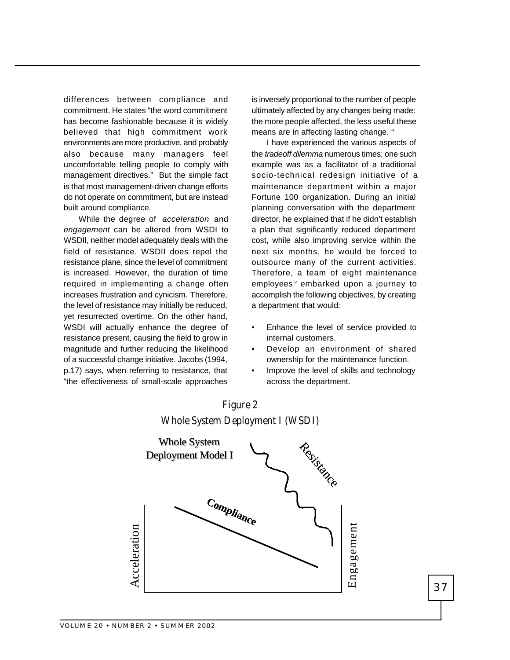differences between compliance and commitment. He states "the word commitment has become fashionable because it is widely believed that high commitment work environments are more productive, and probably also because many managers feel uncomfortable telling people to comply with management directives." But the simple fact is that most management-driven change efforts do not operate on commitment, but are instead built around compliance.

While the degree of *acceleration* and *engagement* can be altered from WSDI to WSDII, neither model adequately deals with the field of resistance. WSDII does repel the resistance plane, since the level of commitment is increased. However, the duration of time required in implementing a change often increases frustration and cynicism. Therefore, the level of resistance may initially be reduced, yet resurrected overtime. On the other hand, WSDI will actually enhance the degree of resistance present, causing the field to grow in magnitude and further reducing the likelihood of a successful change initiative. Jacobs (1994, p.17) says, when referring to resistance, that "the effectiveness of small-scale approaches

is inversely proportional to the number of people ultimately affected by any changes being made: the more people affected, the less useful these means are in affecting lasting change. "

I have experienced the various aspects of the *tradeoff dilemma* numerous times; one such example was as a facilitator of a traditional socio-technical redesign initiative of a maintenance department within a major Fortune 100 organization. During an initial planning conversation with the department director, he explained that if he didn't establish a plan that significantly reduced department cost, while also improving service within the next six months, he would be forced to outsource many of the current activities. Therefore, a team of eight maintenance employees<sup>2</sup> embarked upon a journey to accomplish the following objectives, by creating a department that would:

- Enhance the level of service provided to internal customers.
- Develop an environment of shared ownership for the maintenance function.
- Improve the level of skills and technology across the department.



# **Figure 2 Whole System Deployment I (WSDI)**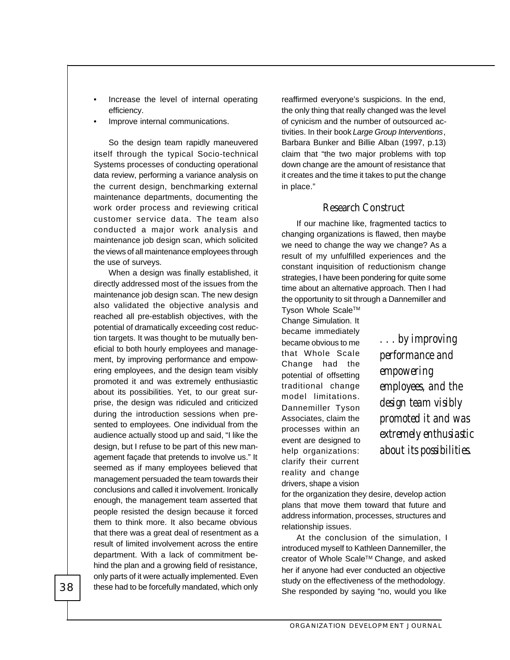- Increase the level of internal operating efficiency.
- Improve internal communications.

So the design team rapidly maneuvered itself through the typical Socio-technical Systems processes of conducting operational data review, performing a variance analysis on the current design, benchmarking external maintenance departments, documenting the work order process and reviewing critical customer service data. The team also conducted a major work analysis and maintenance job design scan, which solicited the views of all maintenance employees through the use of surveys.

When a design was finally established, it directly addressed most of the issues from the maintenance job design scan. The new design also validated the objective analysis and reached all pre-establish objectives, with the potential of dramatically exceeding cost reduction targets. It was thought to be mutually beneficial to both hourly employees and management, by improving performance and empowering employees, and the design team visibly promoted it and was extremely enthusiastic about its possibilities. Yet, to our great surprise, the design was ridiculed and criticized during the introduction sessions when presented to employees. One individual from the audience actually stood up and said, "I like the design, but I refuse to be part of this new management façade that pretends to involve us." It seemed as if many employees believed that management persuaded the team towards their conclusions and called it involvement. Ironically enough, the management team asserted that people resisted the design because it forced them to think more. It also became obvious that there was a great deal of resentment as a result of limited involvement across the entire department. With a lack of commitment behind the plan and a growing field of resistance, only parts of it were actually implemented. Even these had to be forcefully mandated, which only reaffirmed everyone's suspicions. In the end, the only thing that really changed was the level of cynicism and the number of outsourced activities. In their book *Large Group Interventions*, Barbara Bunker and Billie Alban (1997, p.13) claim that "the two major problems with top down change are the amount of resistance that it creates and the time it takes to put the change in place."

## **Research Construct**

If our machine like, fragmented tactics to changing organizations is flawed, then maybe we need to change the way we change? As a result of my unfulfilled experiences and the constant inquisition of reductionism change strategies, I have been pondering for quite some time about an alternative approach. Then I had the opportunity to sit through a Dannemiller and

Tyson Whole Scale™ Change Simulation. It became immediately became obvious to me that Whole Scale Change had the potential of offsetting traditional change model limitations. Dannemiller Tyson Associates, claim the processes within an event are designed to help organizations: clarify their current reality and change drivers, shape a vision

*. . . by improving performance and empowering employees, and the design team visibly promoted it and was extremely enthusiastic about its possibilities.*

for the organization they desire, develop action plans that move them toward that future and address information, processes, structures and relationship issues.

At the conclusion of the simulation, I introduced myself to Kathleen Dannemiller, the creator of Whole Scale™ Change, and asked her if anyone had ever conducted an objective study on the effectiveness of the methodology. She responded by saying "no, would you like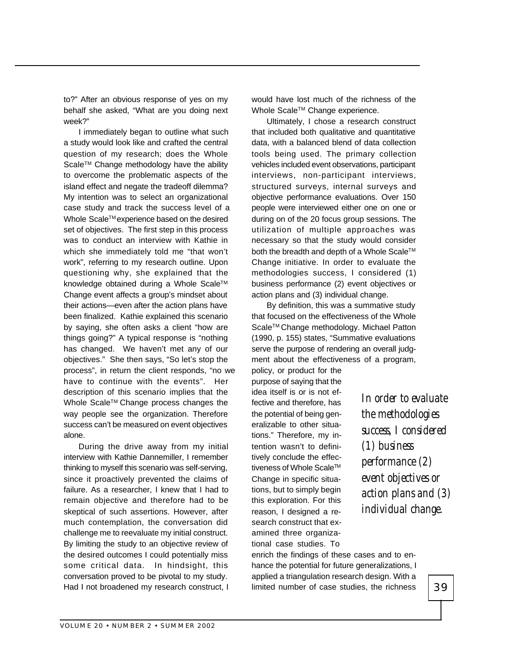to?" After an obvious response of yes on my behalf she asked, "What are you doing next week?"

I immediately began to outline what such a study would look like and crafted the central question of my research; does the Whole Scale™ Change methodology have the ability to overcome the problematic aspects of the island effect and negate the tradeoff dilemma? My intention was to select an organizational case study and track the success level of a Whole Scale™ experience based on the desired set of objectives. The first step in this process was to conduct an interview with Kathie in which she immediately told me "that won't work", referring to my research outline. Upon questioning why, she explained that the knowledge obtained during a Whole Scale™ Change event affects a group's mindset about their actions—even after the action plans have been finalized. Kathie explained this scenario by saying, she often asks a client "how are things going?" A typical response is "nothing has changed. We haven't met any of our objectives." She then says, "So let's stop the process", in return the client responds, "no we have to continue with the events". Her description of this scenario implies that the Whole Scale™ Change process changes the way people see the organization. Therefore success can't be measured on event objectives alone.

During the drive away from my initial interview with Kathie Dannemiller, I remember thinking to myself this scenario was self-serving, since it proactively prevented the claims of failure. As a researcher, I knew that I had to remain objective and therefore had to be skeptical of such assertions. However, after much contemplation, the conversation did challenge me to reevaluate my initial construct. By limiting the study to an objective review of the desired outcomes I could potentially miss some critical data. In hindsight, this conversation proved to be pivotal to my study. Had I not broadened my research construct, I would have lost much of the richness of the Whole Scale™ Change experience.

Ultimately, I chose a research construct that included both qualitative and quantitative data, with a balanced blend of data collection tools being used. The primary collection vehicles included event observations, participant interviews, non-participant interviews, structured surveys, internal surveys and objective performance evaluations. Over 150 people were interviewed either one on one or during on of the 20 focus group sessions. The utilization of multiple approaches was necessary so that the study would consider both the breadth and depth of a Whole Scale™ Change initiative. In order to evaluate the methodologies success, I considered (1) business performance (2) event objectives or action plans and (3) individual change.

By definition, this was a summative study that focused on the effectiveness of the Whole Scale™ Change methodology. Michael Patton (1990, p. 155) states, "Summative evaluations serve the purpose of rendering an overall judgment about the effectiveness of a program,

policy, or product for the purpose of saying that the idea itself is or is not effective and therefore, has the potential of being generalizable to other situations." Therefore, my intention wasn't to definitively conclude the effectiveness of Whole Scale™ Change in specific situations, but to simply begin this exploration. For this reason, I designed a research construct that examined three organizational case studies. To

*In order to evaluate the methodologies success, I considered (1) business performance (2) event objectives or action plans and (3) individual change.*

enrich the findings of these cases and to enhance the potential for future generalizations, I applied a triangulation research design. With a limited number of case studies, the richness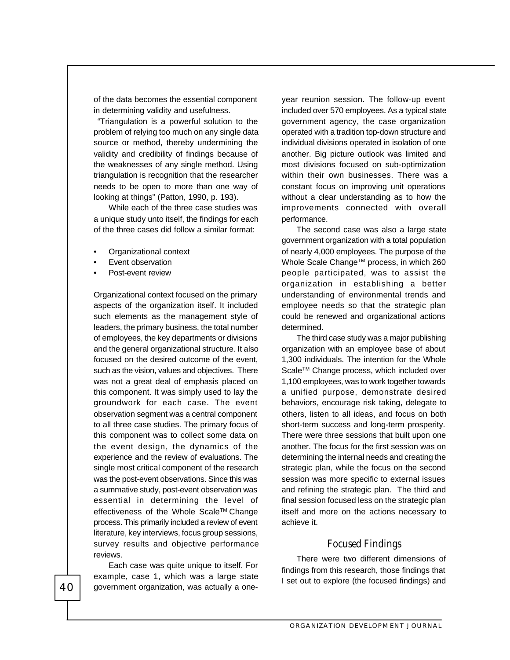of the data becomes the essential component in determining validity and usefulness.

 "Triangulation is a powerful solution to the problem of relying too much on any single data source or method, thereby undermining the validity and credibility of findings because of the weaknesses of any single method. Using triangulation is recognition that the researcher needs to be open to more than one way of looking at things" (Patton, 1990, p. 193).

While each of the three case studies was a unique study unto itself, the findings for each of the three cases did follow a similar format:

- Organizational context
- Event observation
- Post-event review

Organizational context focused on the primary aspects of the organization itself. It included such elements as the management style of leaders, the primary business, the total number of employees, the key departments or divisions and the general organizational structure. It also focused on the desired outcome of the event, such as the vision, values and objectives. There was not a great deal of emphasis placed on this component. It was simply used to lay the groundwork for each case. The event observation segment was a central component to all three case studies. The primary focus of this component was to collect some data on the event design, the dynamics of the experience and the review of evaluations. The single most critical component of the research was the post-event observations. Since this was a summative study, post-event observation was essential in determining the level of effectiveness of the Whole Scale™ Change process. This primarily included a review of event literature, key interviews, focus group sessions, survey results and objective performance reviews.

Each case was quite unique to itself. For example, case 1, which was a large state government organization, was actually a oneyear reunion session. The follow-up event included over 570 employees. As a typical state government agency, the case organization operated with a tradition top-down structure and individual divisions operated in isolation of one another. Big picture outlook was limited and most divisions focused on sub-optimization within their own businesses. There was a constant focus on improving unit operations without a clear understanding as to how the improvements connected with overall performance.

The second case was also a large state government organization with a total population of nearly 4,000 employees. The purpose of the Whole Scale Change™ process, in which 260 people participated, was to assist the organization in establishing a better understanding of environmental trends and employee needs so that the strategic plan could be renewed and organizational actions determined.

The third case study was a major publishing organization with an employee base of about 1,300 individuals. The intention for the Whole Scale™ Change process, which included over 1,100 employees, was to work together towards a unified purpose, demonstrate desired behaviors, encourage risk taking, delegate to others, listen to all ideas, and focus on both short-term success and long-term prosperity. There were three sessions that built upon one another. The focus for the first session was on determining the internal needs and creating the strategic plan, while the focus on the second session was more specific to external issues and refining the strategic plan. The third and final session focused less on the strategic plan itself and more on the actions necessary to achieve it.

#### **Focused Findings**

There were two different dimensions of findings from this research, those findings that I set out to explore (the focused findings) and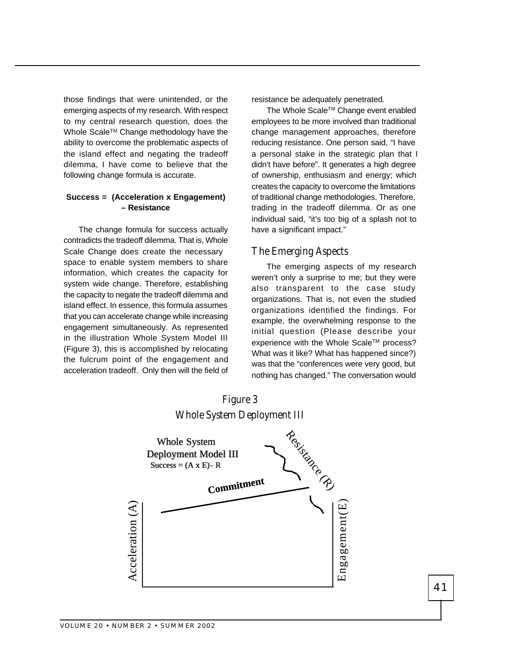those findings that were unintended, or the emerging aspects of my research. With respect to my central research question, does the Whole Scale™ Change methodology have the ability to overcome the problematic aspects of the island effect and negating the tradeoff dilemma, I have come to believe that the following change formula is accurate.

#### **Success = (Acceleration x Engagement) – Resistance**

The change formula for success actually contradicts the tradeoff dilemma. That is, Whole Scale Change does create the necessary space to enable system members to share information, which creates the capacity for system wide change. Therefore, establishing the capacity to negate the tradeoff dilemma and island effect. In essence, this formula assumes that you can accelerate change while increasing engagement simultaneously. As represented in the illustration Whole System Model III (Figure 3), this is accomplished by relocating the fulcrum point of the engagement and acceleration tradeoff. Only then will the field of resistance be adequately penetrated.

The Whole Scale™ Change event enabled employees to be more involved than traditional change management approaches, therefore reducing resistance. One person said, "I have a personal stake in the strategic plan that I didn't have before". It generates a high degree of ownership, enthusiasm and energy; which creates the capacity to overcome the limitations of traditional change methodologies. Therefore, trading in the tradeoff dilemma. Or as one individual said, "it's too big of a splash not to have a significant impact."

## **The Emerging Aspects**

The emerging aspects of my research weren't only a surprise to me; but they were also transparent to the case study organizations. That is, not even the studied organizations identified the findings. For example, the overwhelming response to the initial question (Please describe your experience with the Whole Scale™ process? What was it like? What has happened since?) was that the "conferences were very good, but nothing has changed." The conversation would



## **Figure 3 Whole System Deployment III**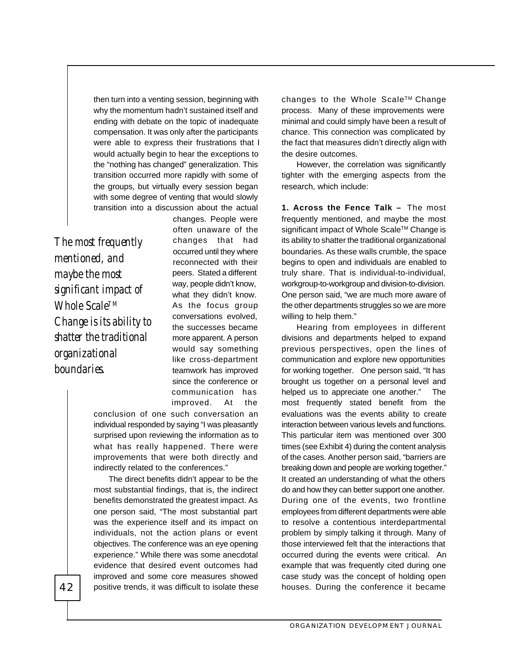then turn into a venting session, beginning with why the momentum hadn't sustained itself and ending with debate on the topic of inadequate compensation. It was only after the participants were able to express their frustrations that I would actually begin to hear the exceptions to the "nothing has changed" generalization. This transition occurred more rapidly with some of the groups, but virtually every session began with some degree of venting that would slowly transition into a discussion about the actual

*The most frequently mentioned, and maybe the most significant impact of Whole ScaleTM Change is its ability to shatter the traditional organizational boundaries.*

changes. People were often unaware of the changes that had occurred until they where reconnected with their peers. Stated a different way, people didn't know, what they didn't know. As the focus group conversations evolved, the successes became more apparent. A person would say something like cross-department teamwork has improved since the conference or communication has improved. At the

conclusion of one such conversation an individual responded by saying "I was pleasantly surprised upon reviewing the information as to what has really happened. There were improvements that were both directly and indirectly related to the conferences."

The direct benefits didn't appear to be the most substantial findings, that is, the indirect benefits demonstrated the greatest impact. As one person said, "The most substantial part was the experience itself and its impact on individuals, not the action plans or event objectives. The conference was an eye opening experience." While there was some anecdotal evidence that desired event outcomes had improved and some core measures showed positive trends, it was difficult to isolate these changes to the Whole Scale™ Change process. Many of these improvements were minimal and could simply have been a result of chance. This connection was complicated by the fact that measures didn't directly align with the desire outcomes.

However, the correlation was significantly tighter with the emerging aspects from the research, which include:

**1. Across the Fence Talk –** The most frequently mentioned, and maybe the most significant impact of Whole Scale™ Change is its ability to shatter the traditional organizational boundaries. As these walls crumble, the space begins to open and individuals are enabled to truly share. That is individual-to-individual, workgroup-to-workgroup and division-to-division. One person said, "we are much more aware of the other departments struggles so we are more willing to help them."

Hearing from employees in different divisions and departments helped to expand previous perspectives, open the lines of communication and explore new opportunities for working together. One person said, "It has brought us together on a personal level and helped us to appreciate one another." The most frequently stated benefit from the evaluations was the events ability to create interaction between various levels and functions. This particular item was mentioned over 300 times (see Exhibit 4) during the content analysis of the cases. Another person said, "barriers are breaking down and people are working together." It created an understanding of what the others do and how they can better support one another. During one of the events, two frontline employees from different departments were able to resolve a contentious interdepartmental problem by simply talking it through. Many of those interviewed felt that the interactions that occurred during the events were critical. An example that was frequently cited during one case study was the concept of holding open houses. During the conference it became

ORGANIZATION DEVELOPMENT JOURNAL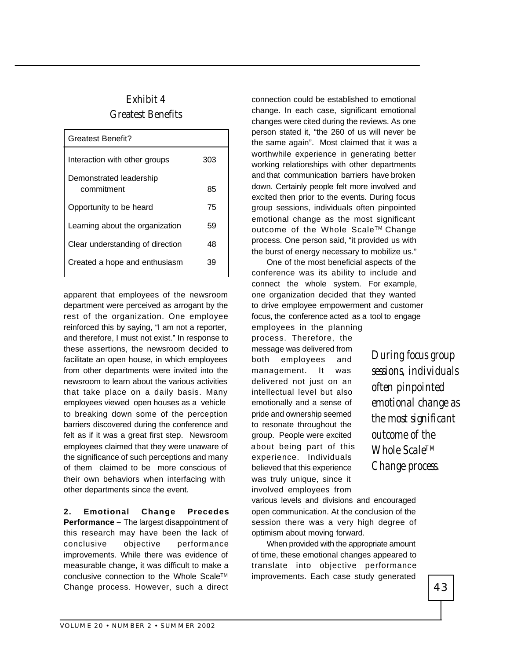# **Exhibit 4 Greatest Benefits**

| <b>Greatest Benefit?</b>              |     |
|---------------------------------------|-----|
| Interaction with other groups         | 303 |
| Demonstrated leadership<br>commitment | 85  |
| Opportunity to be heard               | 75  |
| Learning about the organization       | 59  |
| Clear understanding of direction      | 48  |
| Created a hope and enthusiasm         | 39  |

apparent that employees of the newsroom department were perceived as arrogant by the rest of the organization. One employee reinforced this by saying, "I am not a reporter, and therefore, I must not exist." In response to these assertions, the newsroom decided to facilitate an open house, in which employees from other departments were invited into the newsroom to learn about the various activities that take place on a daily basis. Many employees viewed open houses as a vehicle to breaking down some of the perception barriers discovered during the conference and felt as if it was a great first step. Newsroom employees claimed that they were unaware of the significance of such perceptions and many of them claimed to be more conscious of their own behaviors when interfacing with other departments since the event.

**2. Emotional Change Precedes Performance –** The largest disappointment of this research may have been the lack of conclusive objective performance improvements. While there was evidence of measurable change, it was difficult to make a conclusive connection to the Whole Scale™ Change process. However, such a direct connection could be established to emotional change. In each case, significant emotional changes were cited during the reviews. As one person stated it, "the 260 of us will never be the same again". Most claimed that it was a worthwhile experience in generating better working relationships with other departments and that communication barriers have broken down. Certainly people felt more involved and excited then prior to the events. During focus group sessions, individuals often pinpointed emotional change as the most significant outcome of the Whole Scale™ Change process. One person said, "it provided us with the burst of energy necessary to mobilize us."

One of the most beneficial aspects of the conference was its ability to include and connect the whole system. For example, one organization decided that they wanted to drive employee empowerment and customer focus, the conference acted as a tool to engage

employees in the planning process. Therefore, the message was delivered from both employees and management. It was delivered not just on an intellectual level but also emotionally and a sense of pride and ownership seemed to resonate throughout the group. People were excited about being part of this experience. Individuals believed that this experience was truly unique, since it involved employees from

*During focus group sessions, individuals often pinpointed emotional change as the most significant outcome of the Whole ScaleTM Change process.*

various levels and divisions and encouraged open communication. At the conclusion of the session there was a very high degree of optimism about moving forward.

When provided with the appropriate amount of time, these emotional changes appeared to translate into objective performance improvements. Each case study generated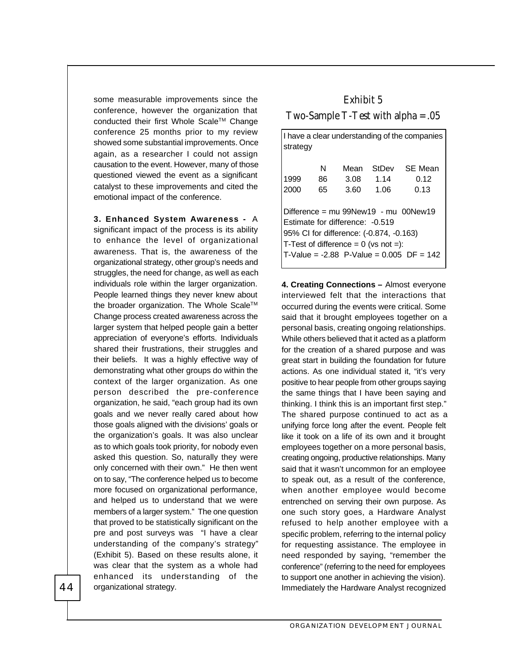some measurable improvements since the conference, however the organization that conducted their first Whole Scale™ Change conference 25 months prior to my review showed some substantial improvements. Once again, as a researcher I could not assign causation to the event. However, many of those questioned viewed the event as a significant catalyst to these improvements and cited the emotional impact of the conference.

**3. Enhanced System Awareness -** A significant impact of the process is its ability to enhance the level of organizational awareness. That is, the awareness of the organizational strategy, other group's needs and struggles, the need for change, as well as each individuals role within the larger organization. People learned things they never knew about the broader organization. The Whole Scale™ Change process created awareness across the larger system that helped people gain a better appreciation of everyone's efforts. Individuals shared their frustrations, their struggles and their beliefs. It was a highly effective way of demonstrating what other groups do within the context of the larger organization. As one person described the pre-conference organization, he said, "each group had its own goals and we never really cared about how those goals aligned with the divisions' goals or the organization's goals. It was also unclear as to which goals took priority, for nobody even asked this question. So, naturally they were only concerned with their own." He then went on to say, "The conference helped us to become more focused on organizational performance, and helped us to understand that we were members of a larger system." The one question that proved to be statistically significant on the pre and post surveys was "I have a clear understanding of the company's strategy" (Exhibit 5). Based on these results alone, it was clear that the system as a whole had enhanced its understanding of the organizational strategy.

# **Exhibit 5 Two-Sample T-Test with alpha = .05**

| I have a clear understanding of the companies<br>strategy                                                                                                                                                      |    |      |       |                |  |
|----------------------------------------------------------------------------------------------------------------------------------------------------------------------------------------------------------------|----|------|-------|----------------|--|
|                                                                                                                                                                                                                | N  | Mean | StDev | <b>SE Mean</b> |  |
| 1999                                                                                                                                                                                                           | 86 | 3.08 | 1.14  | 0.12           |  |
| 2000                                                                                                                                                                                                           | 65 | 3.60 | 1.06  | 0.13           |  |
| Difference = $mu$ 99New19 - $mu$ 00New19<br>Estimate for difference: -0.519<br>95% CI for difference: (-0.874, -0.163)<br>T-Test of difference = $0$ (vs not =):<br>T-Value = $-2.88$ P-Value = 0.005 DF = 142 |    |      |       |                |  |

**4. Creating Connections –** Almost everyone interviewed felt that the interactions that occurred during the events were critical. Some said that it brought employees together on a personal basis, creating ongoing relationships. While others believed that it acted as a platform for the creation of a shared purpose and was great start in building the foundation for future actions. As one individual stated it, "it's very positive to hear people from other groups saying the same things that I have been saying and thinking. I think this is an important first step." The shared purpose continued to act as a unifying force long after the event. People felt like it took on a life of its own and it brought employees together on a more personal basis, creating ongoing, productive relationships. Many said that it wasn't uncommon for an employee to speak out, as a result of the conference, when another employee would become entrenched on serving their own purpose. As one such story goes, a Hardware Analyst refused to help another employee with a specific problem, referring to the internal policy for requesting assistance. The employee in need responded by saying, "remember the conference" (referring to the need for employees to support one another in achieving the vision). Immediately the Hardware Analyst recognized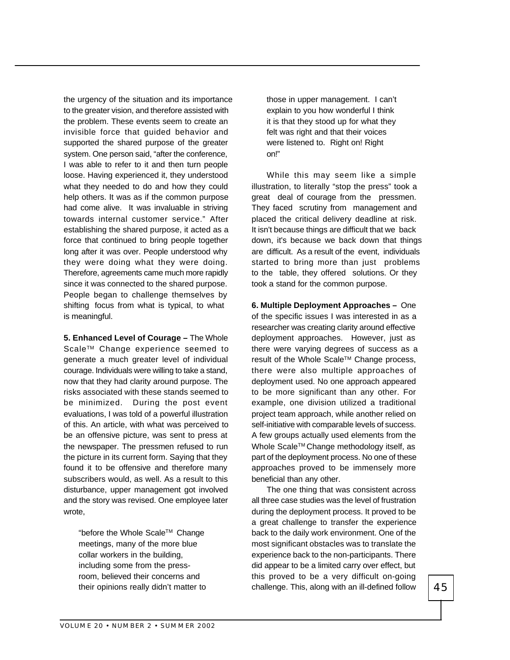the urgency of the situation and its importance to the greater vision, and therefore assisted with the problem. These events seem to create an invisible force that guided behavior and supported the shared purpose of the greater system. One person said, "after the conference, I was able to refer to it and then turn people loose. Having experienced it, they understood what they needed to do and how they could help others. It was as if the common purpose had come alive. It was invaluable in striving towards internal customer service." After establishing the shared purpose, it acted as a force that continued to bring people together long after it was over. People understood why they were doing what they were doing. Therefore, agreements came much more rapidly since it was connected to the shared purpose. People began to challenge themselves by shifting focus from what is typical, to what is meaningful.

**5. Enhanced Level of Courage –** The Whole Scale™ Change experience seemed to generate a much greater level of individual courage. Individuals were willing to take a stand, now that they had clarity around purpose. The risks associated with these stands seemed to be minimized. During the post event evaluations, I was told of a powerful illustration of this. An article, with what was perceived to be an offensive picture, was sent to press at the newspaper. The pressmen refused to run the picture in its current form. Saying that they found it to be offensive and therefore many subscribers would, as well. As a result to this disturbance, upper management got involved and the story was revised. One employee later wrote,

"before the Whole ScaleTM Change meetings, many of the more blue collar workers in the building, including some from the pressroom, believed their concerns and their opinions really didn't matter to

those in upper management. I can't explain to you how wonderful I think it is that they stood up for what they felt was right and that their voices were listened to. Right on! Right on!"

While this may seem like a simple illustration, to literally "stop the press" took a great deal of courage from the pressmen. They faced scrutiny from management and placed the critical delivery deadline at risk. It isn't because things are difficult that we back down, it's because we back down that things are difficult. As a result of the event, individuals started to bring more than just problems to the table, they offered solutions. Or they took a stand for the common purpose.

**6. Multiple Deployment Approaches –** One of the specific issues I was interested in as a researcher was creating clarity around effective deployment approaches. However, just as there were varying degrees of success as a result of the Whole Scale™ Change process, there were also multiple approaches of deployment used. No one approach appeared to be more significant than any other. For example, one division utilized a traditional project team approach, while another relied on self-initiative with comparable levels of success. A few groups actually used elements from the Whole Scale™ Change methodology itself, as part of the deployment process. No one of these approaches proved to be immensely more beneficial than any other.

The one thing that was consistent across all three case studies was the level of frustration during the deployment process. It proved to be a great challenge to transfer the experience back to the daily work environment. One of the most significant obstacles was to translate the experience back to the non-participants. There did appear to be a limited carry over effect, but this proved to be a very difficult on-going challenge. This, along with an ill-defined follow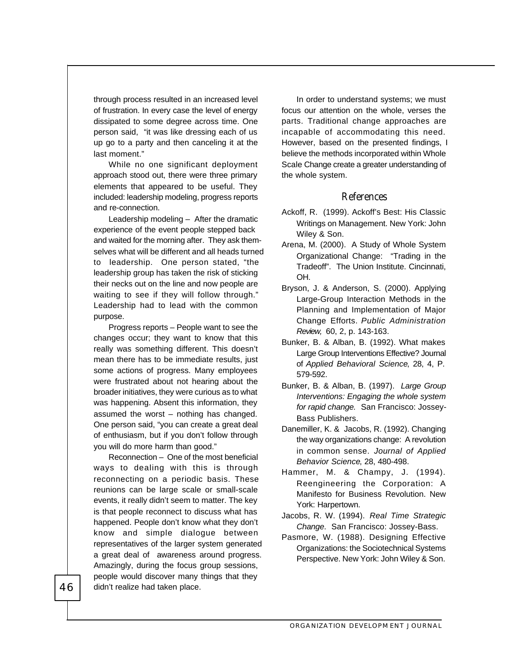through process resulted in an increased level of frustration. In every case the level of energy dissipated to some degree across time. One person said, "it was like dressing each of us up go to a party and then canceling it at the last moment."

While no one significant deployment approach stood out, there were three primary elements that appeared to be useful. They included: leadership modeling, progress reports and re-connection.

Leadership modeling – After the dramatic experience of the event people stepped back and waited for the morning after. They ask themselves what will be different and all heads turned to leadership. One person stated, "the leadership group has taken the risk of sticking their necks out on the line and now people are waiting to see if they will follow through." Leadership had to lead with the common purpose.

Progress reports – People want to see the changes occur; they want to know that this really was something different. This doesn't mean there has to be immediate results, just some actions of progress. Many employees were frustrated about not hearing about the broader initiatives, they were curious as to what was happening. Absent this information, they assumed the worst – nothing has changed. One person said, "you can create a great deal of enthusiasm, but if you don't follow through you will do more harm than good."

Reconnection – One of the most beneficial ways to dealing with this is through reconnecting on a periodic basis. These reunions can be large scale or small-scale events, it really didn't seem to matter. The key is that people reconnect to discuss what has happened. People don't know what they don't know and simple dialogue between representatives of the larger system generated a great deal of awareness around progress. Amazingly, during the focus group sessions, people would discover many things that they didn't realize had taken place.

In order to understand systems; we must focus our attention on the whole, verses the parts. Traditional change approaches are incapable of accommodating this need. However, based on the presented findings, I believe the methods incorporated within Whole Scale Change create a greater understanding of the whole system.

#### **References**

- Ackoff, R. (1999). Ackoff's Best: His Classic Writings on Management. New York: John Wiley & Son.
- Arena, M. (2000). A Study of Whole System Organizational Change: "Trading in the Tradeoff". The Union Institute. Cincinnati, OH.
- Bryson, J. & Anderson, S. (2000). Applying Large-Group Interaction Methods in the Planning and Implementation of Major Change Efforts. *Public Administration Review,* 60, 2, p. 143-163.
- Bunker, B. & Alban, B. (1992). What makes Large Group Interventions Effective? Journal of *Applied Behavioral Science*, 28, 4, P. 579-592.
- Bunker, B. & Alban, B. (1997). *Large Group Interventions: Engaging the whole system for rapid change.* San Francisco: Jossey-Bass Publishers.
- Danemiller, K. & Jacobs, R. (1992). Changing the way organizations change: A revolution in common sense. *Journal of Applied Behavior Science*, 28, 480-498.
- Hammer, M. & Champy, J. (1994). Reengineering the Corporation: A Manifesto for Business Revolution. New York: Harpertown.
- Jacobs, R. W. (1994). *Real Time Strategic Change*. San Francisco: Jossey-Bass.
- Pasmore, W. (1988). Designing Effective Organizations: the Sociotechnical Systems Perspective. New York: John Wiley & Son.